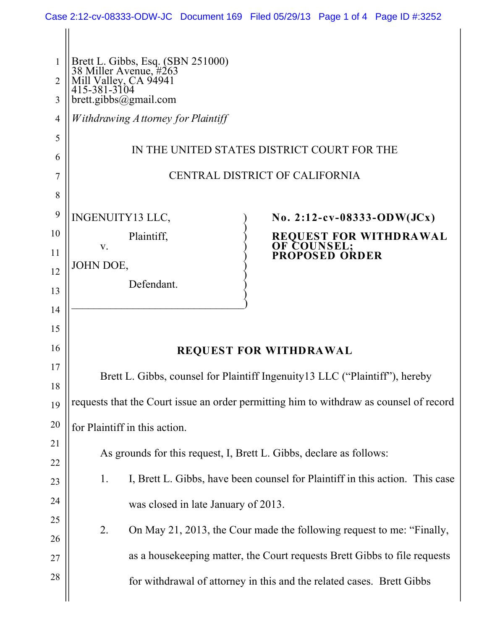| 1        |                                                                                                      |  |  |  |  |
|----------|------------------------------------------------------------------------------------------------------|--|--|--|--|
| 2        | Brett L. Gibbs, Esq. (SBN 251000)<br>38 Miller Avenue, #263<br>Mill Valley, CA 94941<br>415-381-3104 |  |  |  |  |
| 3        | brett.gibbs@gmail.com                                                                                |  |  |  |  |
| 4        | Withdrawing A ttorney for Plaintiff                                                                  |  |  |  |  |
| 5        | IN THE UNITED STATES DISTRICT COURT FOR THE                                                          |  |  |  |  |
| 6        |                                                                                                      |  |  |  |  |
| 7        | CENTRAL DISTRICT OF CALIFORNIA                                                                       |  |  |  |  |
| 8        |                                                                                                      |  |  |  |  |
| 9        | INGENUITY13 LLC,<br>No. 2:12-cv-08333-ODW(JCx)                                                       |  |  |  |  |
| 10<br>11 | Plaintiff,<br>REQUEST FOR WITHDRAWAL<br>OF COUNSEL;<br>PROPOSED ORDER<br>V.                          |  |  |  |  |
| 12       | JOHN DOE,                                                                                            |  |  |  |  |
| 13       | Defendant.                                                                                           |  |  |  |  |
| 14       |                                                                                                      |  |  |  |  |
| 15       |                                                                                                      |  |  |  |  |
| 16       | <b>REQUEST FOR WITHDRAWAL</b>                                                                        |  |  |  |  |
| 17       |                                                                                                      |  |  |  |  |
| 18       | Brett L. Gibbs, counsel for Plaintiff Ingenuity 13 LLC ("Plaintiff"), hereby                         |  |  |  |  |
| 19       | requests that the Court issue an order permitting him to withdraw as counsel of record               |  |  |  |  |
| 20       | for Plaintiff in this action.                                                                        |  |  |  |  |
| 21       | As grounds for this request, I, Brett L. Gibbs, declare as follows:                                  |  |  |  |  |
| 22       |                                                                                                      |  |  |  |  |
| 23       | I, Brett L. Gibbs, have been counsel for Plaintiff in this action. This case<br>1.                   |  |  |  |  |
| 24       | was closed in late January of 2013.                                                                  |  |  |  |  |
| 25       | On May 21, 2013, the Cour made the following request to me: "Finally,<br>2.                          |  |  |  |  |
| 26<br>27 | as a house keeping matter, the Court requests Brett Gibbs to file requests                           |  |  |  |  |
| 28       |                                                                                                      |  |  |  |  |
|          | for withdrawal of attorney in this and the related cases. Brett Gibbs                                |  |  |  |  |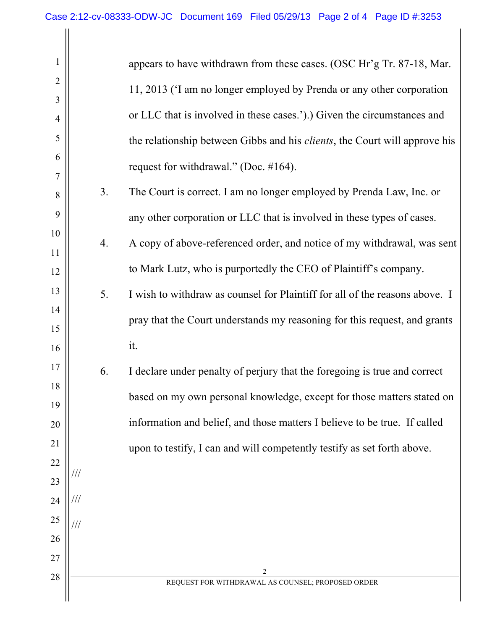| 1              |     |    | appears to have withdrawn from these cases. (OSC Hr'g Tr. 87-18, Mar.              |
|----------------|-----|----|------------------------------------------------------------------------------------|
| $\overline{2}$ |     |    | 11, 2013 ('I am no longer employed by Prenda or any other corporation              |
| 3              |     |    | or LLC that is involved in these cases.').) Given the circumstances and            |
| 4<br>5         |     |    |                                                                                    |
| 6              |     |    | the relationship between Gibbs and his <i>clients</i> , the Court will approve his |
| 7              |     |    | request for withdrawal." (Doc. $\#164$ ).                                          |
| 8              |     | 3. | The Court is correct. I am no longer employed by Prenda Law, Inc. or               |
| 9              |     |    | any other corporation or LLC that is involved in these types of cases.             |
| 10<br>11       |     | 4. | A copy of above-referenced order, and notice of my withdrawal, was sent            |
| 12             |     |    | to Mark Lutz, who is purportedly the CEO of Plaintiff's company.                   |
| 13             |     | 5. | I wish to withdraw as counsel for Plaintiff for all of the reasons above. I        |
| 14             |     |    | pray that the Court understands my reasoning for this request, and grants          |
| 15<br>16       |     |    | it.                                                                                |
| 17             |     |    |                                                                                    |
| 18             |     | 6. | I declare under penalty of perjury that the foregoing is true and correct          |
| 19             |     |    | based on my own personal knowledge, except for those matters stated on             |
| 20             |     |    | information and belief, and those matters I believe to be true. If called          |
| 21             |     |    | upon to testify, I can and will competently testify as set forth above.            |
| 22             |     |    |                                                                                    |
| 23             |     |    |                                                                                    |
| 24             | /// |    |                                                                                    |
| 25             |     |    |                                                                                    |
| 26             |     |    |                                                                                    |
| 27             |     |    | 2                                                                                  |
| 28             |     |    | REQUEST FOR WITHDRAWAL AS COUNSEL; PROPOSED ORDER                                  |
|                |     |    |                                                                                    |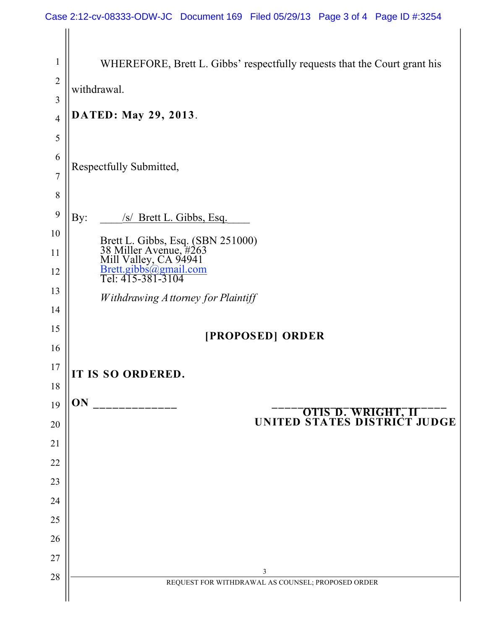